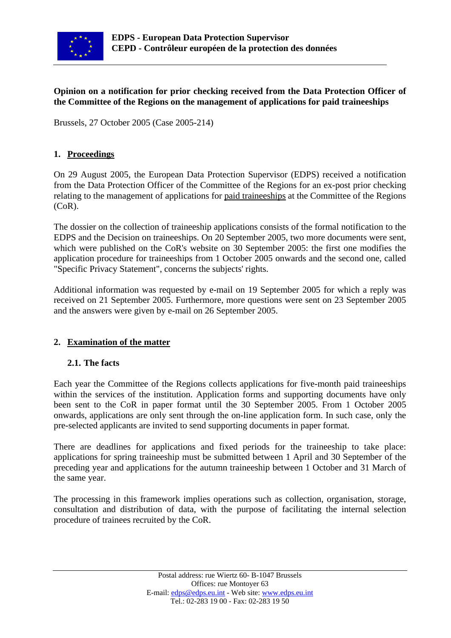

## **Opinion on a notification for prior checking received from the Data Protection Officer of the Committee of the Regions on the management of applications for paid traineeships**

Brussels, 27 October 2005 (Case 2005-214)

## **1. Proceedings**

On 29 August 2005, the European Data Protection Supervisor (EDPS) received a notification from the Data Protection Officer of the Committee of the Regions for an ex-post prior checking relating to the management of applications for paid traineeships at the Committee of the Regions (CoR).

The dossier on the collection of traineeship applications consists of the formal notification to the EDPS and the Decision on traineeships. On 20 September 2005, two more documents were sent, which were published on the CoR's website on 30 September 2005: the first one modifies the application procedure for traineeships from 1 October 2005 onwards and the second one, called "Specific Privacy Statement", concerns the subjects' rights.

Additional information was requested by e-mail on 19 September 2005 for which a reply was received on 21 September 2005. Furthermore, more questions were sent on 23 September 2005 and the answers were given by e-mail on 26 September 2005.

## **2. Examination of the matter**

## **2.1. The facts**

Each year the Committee of the Regions collects applications for five-month paid traineeships within the services of the institution. Application forms and supporting documents have only been sent to the CoR in paper format until the 30 September 2005. From 1 October 2005 onwards, applications are only sent through the on-line application form. In such case, only the pre-selected applicants are invited to send supporting documents in paper format.

There are deadlines for applications and fixed periods for the traineeship to take place: applications for spring traineeship must be submitted between 1 April and 30 September of the preceding year and applications for the autumn traineeship between 1 October and 31 March of the same year.

The processing in this framework implies operations such as collection, organisation, storage, consultation and distribution of data, with the purpose of facilitating the internal selection procedure of trainees recruited by the CoR.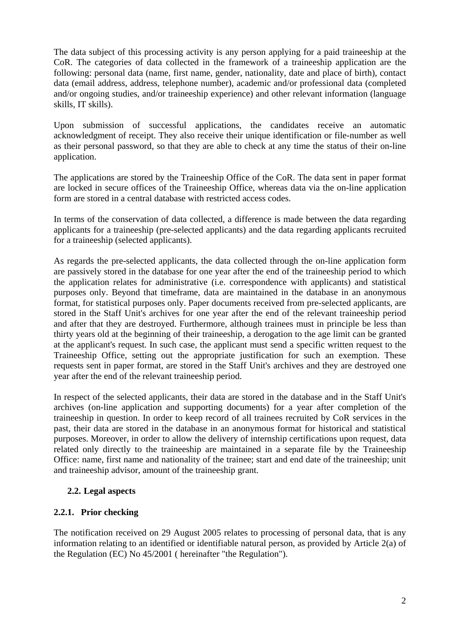The data subject of this processing activity is any person applying for a paid traineeship at the CoR. The categories of data collected in the framework of a traineeship application are the following: personal data (name, first name, gender, nationality, date and place of birth), contact data (email address, address, telephone number), academic and/or professional data (completed and/or ongoing studies, and/or traineeship experience) and other relevant information (language skills, IT skills).

Upon submission of successful applications, the candidates receive an automatic acknowledgment of receipt. They also receive their unique identification or file-number as well as their personal password, so that they are able to check at any time the status of their on-line application.

The applications are stored by the Traineeship Office of the CoR. The data sent in paper format are locked in secure offices of the Traineeship Office, whereas data via the on-line application form are stored in a central database with restricted access codes.

In terms of the conservation of data collected, a difference is made between the data regarding applicants for a traineeship (pre-selected applicants) and the data regarding applicants recruited for a traineeship (selected applicants).

As regards the pre-selected applicants, the data collected through the on-line application form are passively stored in the database for one year after the end of the traineeship period to which the application relates for administrative (i.e. correspondence with applicants) and statistical purposes only. Beyond that timeframe, data are maintained in the database in an anonymous format, for statistical purposes only. Paper documents received from pre-selected applicants, are stored in the Staff Unit's archives for one year after the end of the relevant traineeship period and after that they are destroyed. Furthermore, although trainees must in principle be less than thirty years old at the beginning of their traineeship, a derogation to the age limit can be granted at the applicant's request. In such case, the applicant must send a specific written request to the Traineeship Office, setting out the appropriate justification for such an exemption. These requests sent in paper format, are stored in the Staff Unit's archives and they are destroyed one year after the end of the relevant traineeship period.

In respect of the selected applicants, their data are stored in the database and in the Staff Unit's archives (on-line application and supporting documents) for a year after completion of the traineeship in question. In order to keep record of all trainees recruited by CoR services in the past, their data are stored in the database in an anonymous format for historical and statistical purposes. Moreover, in order to allow the delivery of internship certifications upon request, data related only directly to the traineeship are maintained in a separate file by the Traineeship Office: name, first name and nationality of the trainee; start and end date of the traineeship; unit and traineeship advisor, amount of the traineeship grant.

## **2.2. Legal aspects**

## **2.2.1. Prior checking**

The notification received on 29 August 2005 relates to processing of personal data, that is any information relating to an identified or identifiable natural person, as provided by Article 2(a) of the Regulation (EC) No 45/2001 ( hereinafter "the Regulation").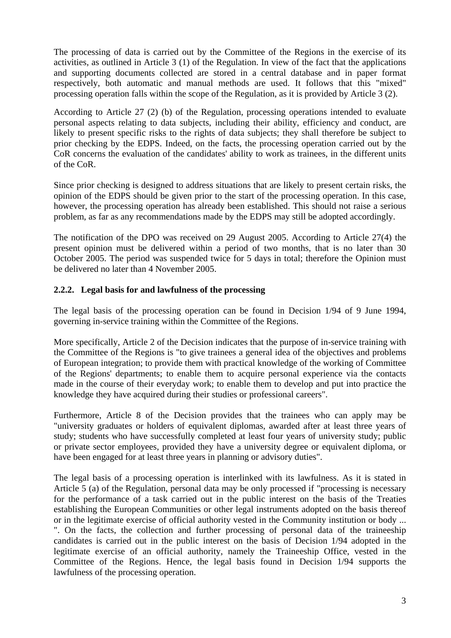The processing of data is carried out by the Committee of the Regions in the exercise of its activities, as outlined in Article 3 (1) of the Regulation. In view of the fact that the applications and supporting documents collected are stored in a central database and in paper format respectively, both automatic and manual methods are used. It follows that this "mixed" processing operation falls within the scope of the Regulation, as it is provided by Article 3 (2).

According to Article 27 (2) (b) of the Regulation, processing operations intended to evaluate personal aspects relating to data subjects, including their ability, efficiency and conduct, are likely to present specific risks to the rights of data subjects; they shall therefore be subject to prior checking by the EDPS. Indeed, on the facts, the processing operation carried out by the CoR concerns the evaluation of the candidates' ability to work as trainees, in the different units of the CoR.

Since prior checking is designed to address situations that are likely to present certain risks, the opinion of the EDPS should be given prior to the start of the processing operation. In this case, however, the processing operation has already been established. This should not raise a serious problem, as far as any recommendations made by the EDPS may still be adopted accordingly.

The notification of the DPO was received on 29 August 2005. According to Article 27(4) the present opinion must be delivered within a period of two months, that is no later than 30 October 2005. The period was suspended twice for 5 days in total; therefore the Opinion must be delivered no later than 4 November 2005.

## **2.2.2. Legal basis for and lawfulness of the processing**

The legal basis of the processing operation can be found in Decision 1/94 of 9 June 1994, governing in-service training within the Committee of the Regions.

More specifically, Article 2 of the Decision indicates that the purpose of in-service training with the Committee of the Regions is "to give trainees a general idea of the objectives and problems of European integration; to provide them with practical knowledge of the working of Committee of the Regions' departments; to enable them to acquire personal experience via the contacts made in the course of their everyday work; to enable them to develop and put into practice the knowledge they have acquired during their studies or professional careers".

Furthermore, Article 8 of the Decision provides that the trainees who can apply may be "university graduates or holders of equivalent diplomas, awarded after at least three years of study; students who have successfully completed at least four years of university study; public or private sector employees, provided they have a university degree or equivalent diploma, or have been engaged for at least three years in planning or advisory duties".

The legal basis of a processing operation is interlinked with its lawfulness. As it is stated in Article 5 (a) of the Regulation, personal data may be only processed if "processing is necessary for the performance of a task carried out in the public interest on the basis of the Treaties establishing the European Communities or other legal instruments adopted on the basis thereof or in the legitimate exercise of official authority vested in the Community institution or body ... ". On the facts, the collection and further processing of personal data of the traineeship candidates is carried out in the public interest on the basis of Decision 1/94 adopted in the legitimate exercise of an official authority, namely the Traineeship Office, vested in the Committee of the Regions. Hence, the legal basis found in Decision 1/94 supports the lawfulness of the processing operation.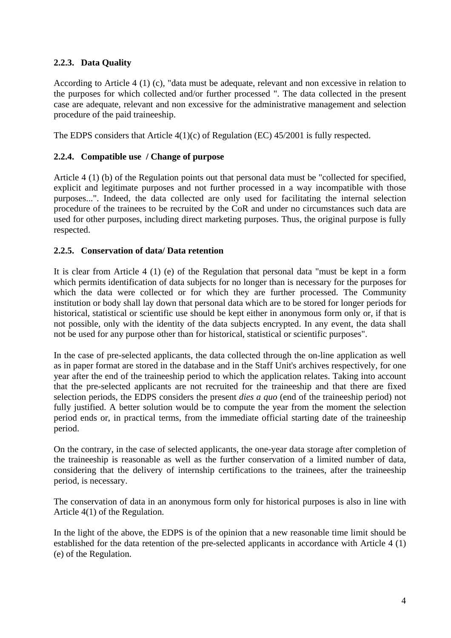# **2.2.3. Data Quality**

According to Article 4 (1) (c), "data must be adequate, relevant and non excessive in relation to the purposes for which collected and/or further processed ". The data collected in the present case are adequate, relevant and non excessive for the administrative management and selection procedure of the paid traineeship.

The EDPS considers that Article 4(1)(c) of Regulation (EC) 45/2001 is fully respected.

### **2.2.4. Compatible use / Change of purpose**

Article 4 (1) (b) of the Regulation points out that personal data must be "collected for specified, explicit and legitimate purposes and not further processed in a way incompatible with those purposes...". Indeed, the data collected are only used for facilitating the internal selection procedure of the trainees to be recruited by the CoR and under no circumstances such data are used for other purposes, including direct marketing purposes. Thus, the original purpose is fully respected.

### **2.2.5. Conservation of data/ Data retention**

It is clear from Article 4 (1) (e) of the Regulation that personal data "must be kept in a form which permits identification of data subjects for no longer than is necessary for the purposes for which the data were collected or for which they are further processed. The Community institution or body shall lay down that personal data which are to be stored for longer periods for historical, statistical or scientific use should be kept either in anonymous form only or, if that is not possible, only with the identity of the data subjects encrypted. In any event, the data shall not be used for any purpose other than for historical, statistical or scientific purposes".

In the case of pre-selected applicants, the data collected through the on-line application as well as in paper format are stored in the database and in the Staff Unit's archives respectively, for one year after the end of the traineeship period to which the application relates. Taking into account that the pre-selected applicants are not recruited for the traineeship and that there are fixed selection periods, the EDPS considers the present *dies a quo* (end of the traineeship period) not fully justified. A better solution would be to compute the year from the moment the selection period ends or, in practical terms, from the immediate official starting date of the traineeship period.

On the contrary, in the case of selected applicants, the one-year data storage after completion of the traineeship is reasonable as well as the further conservation of a limited number of data, considering that the delivery of internship certifications to the trainees, after the traineeship period, is necessary.

The conservation of data in an anonymous form only for historical purposes is also in line with Article 4(1) of the Regulation.

In the light of the above, the EDPS is of the opinion that a new reasonable time limit should be established for the data retention of the pre-selected applicants in accordance with Article 4 (1) (e) of the Regulation.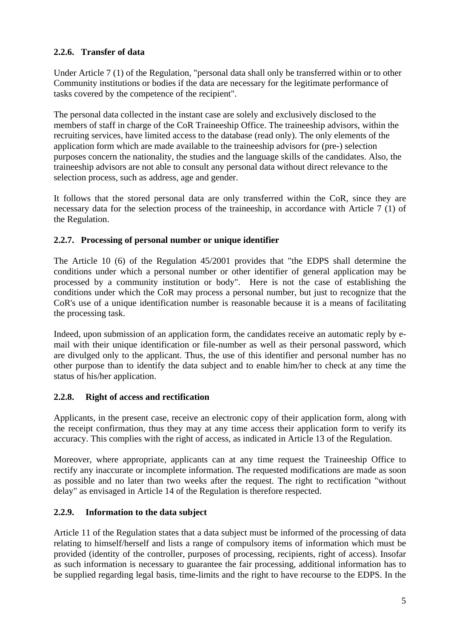# **2.2.6. Transfer of data**

Under Article 7 (1) of the Regulation, "personal data shall only be transferred within or to other Community institutions or bodies if the data are necessary for the legitimate performance of tasks covered by the competence of the recipient".

The personal data collected in the instant case are solely and exclusively disclosed to the members of staff in charge of the CoR Traineeship Office. The traineeship advisors, within the recruiting services, have limited access to the database (read only). The only elements of the application form which are made available to the traineeship advisors for (pre-) selection purposes concern the nationality, the studies and the language skills of the candidates. Also, the traineeship advisors are not able to consult any personal data without direct relevance to the selection process, such as address, age and gender.

It follows that the stored personal data are only transferred within the CoR, since they are necessary data for the selection process of the traineeship, in accordance with Article 7 (1) of the Regulation.

## **2.2.7. Processing of personal number or unique identifier**

The Article 10 (6) of the Regulation 45/2001 provides that "the EDPS shall determine the conditions under which a personal number or other identifier of general application may be processed by a community institution or body". Here is not the case of establishing the conditions under which the CoR may process a personal number, but just to recognize that the CoR's use of a unique identification number is reasonable because it is a means of facilitating the processing task.

Indeed, upon submission of an application form, the candidates receive an automatic reply by email with their unique identification or file-number as well as their personal password, which are divulged only to the applicant. Thus, the use of this identifier and personal number has no other purpose than to identify the data subject and to enable him/her to check at any time the status of his/her application.

# **2.2.8. Right of access and rectification**

Applicants, in the present case, receive an electronic copy of their application form, along with the receipt confirmation, thus they may at any time access their application form to verify its accuracy. This complies with the right of access, as indicated in Article 13 of the Regulation.

Moreover, where appropriate, applicants can at any time request the Traineeship Office to rectify any inaccurate or incomplete information. The requested modifications are made as soon as possible and no later than two weeks after the request. The right to rectification "without delay" as envisaged in Article 14 of the Regulation is therefore respected.

## **2.2.9. Information to the data subject**

Article 11 of the Regulation states that a data subject must be informed of the processing of data relating to himself/herself and lists a range of compulsory items of information which must be provided (identity of the controller, purposes of processing, recipients, right of access). Insofar as such information is necessary to guarantee the fair processing, additional information has to be supplied regarding legal basis, time-limits and the right to have recourse to the EDPS. In the